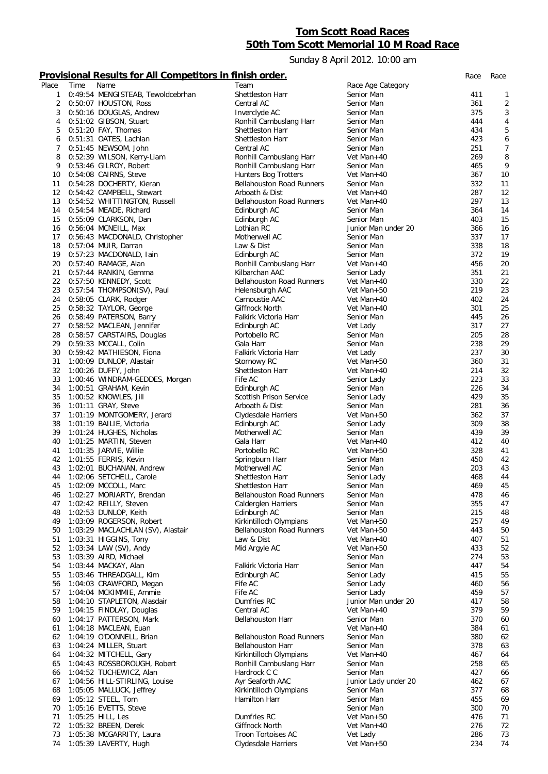## **Tom Scott Road Races 50th Tom Scott Memorial 10 M Road Race**

Sunday 8 April 2012. 10:00 am

## **Provisional Results for All Competitors in finish order.** *Race Race*

| Place          | Time | Name                              | Team                             | Race Age Category    |     |                |
|----------------|------|-----------------------------------|----------------------------------|----------------------|-----|----------------|
|                |      |                                   |                                  |                      |     |                |
| 1              |      | 0:49:54 MENGISTEAB, Tewoldcebrhan | Shettleston Harr                 | Senior Man           | 411 | 1              |
| 2              |      | 0:50:07 HOUSTON, Ross             | Central AC                       | Senior Man           | 361 | $\overline{2}$ |
| 3              |      | 0:50:16 DOUGLAS, Andrew           | Inverclyde AC                    | Senior Man           | 375 | 3              |
| 4              |      | 0:51:02 GIBSON, Stuart            | Ronhill Cambuslang Harr          | Senior Man           | 444 | 4              |
| 5              |      | 0:51:20 FAY, Thomas               | Shettleston Harr                 | Senior Man           | 434 | 5              |
| 6              |      | 0:51:31 OATES, Lachlan            | Shettleston Harr                 | Senior Man           | 423 | 6              |
|                |      |                                   |                                  |                      |     |                |
| $\overline{7}$ |      | 0:51:45 NEWSOM, John              | Central AC                       | Senior Man           | 251 | 7              |
| 8              |      | 0:52:39 WILSON, Kerry-Liam        | Ronhill Cambuslang Harr          | Vet Man+40           | 269 | 8              |
| 9              |      | 0:53:46 GILROY, Robert            | Ronhill Cambuslang Harr          | Senior Man           | 465 | 9              |
| 10             |      | 0:54:08 CAIRNS, Steve             | Hunters Bog Trotters             | Vet Man+40           | 367 | 10             |
| 11             |      | 0:54:28 DOCHERTY, Kieran          | <b>Bellahouston Road Runners</b> | Senior Man           | 332 | 11             |
| 12             |      | 0:54:42 CAMPBELL, Stewart         | Arboath & Dist                   | Vet Man+40           | 287 | 12             |
|                |      |                                   |                                  |                      |     |                |
| 13             |      | 0:54:52 WHITTINGTON, Russell      | <b>Bellahouston Road Runners</b> | Vet Man+40           | 297 | 13             |
| 14             |      | 0:54:54 MEADE, Richard            | Edinburgh AC                     | Senior Man           | 364 | 14             |
| 15             |      | 0:55:09 CLARKSON, Dan             | Edinburgh AC                     | Senior Man           | 403 | 15             |
| 16             |      | 0:56:04 MCNEILL, Max              | Lothian RC                       | Junior Man under 20  | 366 | 16             |
| 17             |      | 0:56:43 MACDONALD, Christopher    | Motherwell AC                    | Senior Man           | 337 | 17             |
| 18             |      | 0:57:04 MUIR, Darran              | Law & Dist                       | Senior Man           | 338 | 18             |
|                |      |                                   |                                  |                      |     |                |
| 19             |      | 0:57:23 MACDONALD, Iain           | Edinburgh AC                     | Senior Man           | 372 | 19             |
| 20             |      | 0:57:40 RAMAGE, Alan              | Ronhill Cambuslang Harr          | Vet Man+40           | 456 | 20             |
| 21             |      | 0:57:44 RANKIN, Gemma             | Kilbarchan AAC                   | Senior Lady          | 351 | 21             |
| 22             |      | 0:57:50 KENNEDY, Scott            | <b>Bellahouston Road Runners</b> | Vet Man+40           | 330 | 22             |
| 23             |      | 0:57:54 THOMPSON(SV), Paul        | Helensburgh AAC                  | Vet Man+50           | 219 | 23             |
| 24             |      | 0:58:05 CLARK, Rodger             | Carnoustie AAC                   | Vet Man+40           | 402 | 24             |
|                |      |                                   |                                  |                      |     |                |
| 25             |      | 0:58:32 TAYLOR, George            | Giffnock North                   | Vet Man+40           | 301 | 25             |
| 26             |      | 0:58:49 PATERSON, Barry           | Falkirk Victoria Harr            | Senior Man           | 445 | 26             |
| 27             |      | 0:58:52 MACLEAN, Jennifer         | Edinburgh AC                     | Vet Lady             | 317 | 27             |
| 28             |      | 0:58:57 CARSTAIRS, Douglas        | Portobello RC                    | Senior Man           | 205 | 28             |
| 29             |      | 0:59:33 MCCALL, Colin             | Gala Harr                        | Senior Man           | 238 | 29             |
| 30             |      | 0:59:42 MATHIESON, Fiona          | Falkirk Victoria Harr            |                      | 237 | 30             |
|                |      |                                   |                                  | Vet Lady             |     |                |
| 31             |      | 1:00:09 DUNLOP, Alastair          | Stornowy RC                      | Vet Man+50           | 360 | 31             |
| 32             |      | 1:00:26 DUFFY, John               | Shettleston Harr                 | Vet Man+40           | 214 | 32             |
| 33             |      | 1:00:46 WINDRAM-GEDDES, Morgan    | Fife AC                          | Senior Lady          | 223 | 33             |
| 34             |      | 1:00:51 GRAHAM, Kevin             | Edinburgh AC                     | Senior Man           | 226 | 34             |
| 35             |      | 1:00:52 KNOWLES, Jill             | Scottish Prison Service          | Senior Lady          | 429 | 35             |
| 36             |      | 1:01:11 GRAY, Steve               | Arboath & Dist                   | Senior Man           | 281 | 36             |
|                |      |                                   |                                  |                      |     |                |
| 37             |      | 1:01:19 MONTGOMERY, Jerard        | Clydesdale Harriers              | Vet Man+50           | 362 | 37             |
| 38             |      | 1:01:19 BAILIE, Victoria          | Edinburgh AC                     | Senior Lady          | 309 | 38             |
| 39             |      | 1:01:24 HUGHES, Nicholas          | Motherwell AC                    | Senior Man           | 439 | 39             |
| 40             |      | 1:01:25 MARTIN, Steven            | Gala Harr                        | Vet Man+40           | 412 | 40             |
| 41             |      | 1:01:35 JARVIE, Willie            | Portobello RC                    | Vet Man+50           | 328 | 41             |
| 42             |      | 1:01:55 FERRIS, Kevin             | Springburn Harr                  | Senior Man           | 450 | 42             |
| 43             |      | 1:02:01 BUCHANAN, Andrew          | Motherwell AC                    | Senior Man           | 203 | 43             |
|                |      |                                   |                                  |                      |     |                |
| 44             |      | 1:02:06 SETCHELL, Carole          | Shettleston Harr                 | Senior Lady          | 468 | 44             |
| 45             |      | 1:02:09 MCCOLL, Marc              | Shettleston Harr                 | Senior Man           | 469 | 45             |
| 46             |      | 1:02:27 MORIARTY, Brendan         | <b>Bellahouston Road Runners</b> | Senior Man           | 478 | 46             |
| 47             |      | 1:02:42 REILLY, Steven            | Calderglen Harriers              | Senior Man           | 355 | 47             |
| 48             |      | 1:02:53 DUNLOP, Keith             | Edinburgh AC                     | Senior Man           | 215 | 48             |
| 49             |      | 1:03:09 ROGERSON, Robert          | Kirkintilloch Olympians          | Vet Man+50           | 257 | 49             |
|                |      |                                   |                                  |                      |     |                |
| 50             |      | 1:03:29 MACLACHLAN (SV), Alastair | <b>Bellahouston Road Runners</b> | Vet Man+50           | 443 | 50             |
| 51             |      | 1:03:31 HIGGINS, Tony             | Law & Dist                       | Vet Man+40           | 407 | 51             |
| 52             |      | 1:03:34 LAW (SV), Andy            | Mid Argyle AC                    | Vet Man+50           | 433 | 52             |
| 53             |      | 1:03:39 AIRD, Michael             |                                  | Senior Man           | 274 | 53             |
| 54             |      | 1:03:44 MACKAY, Alan              | Falkirk Victoria Harr            | Senior Man           | 447 | 54             |
| 55             |      | 1:03:46 THREADGALL, Kim           | Edinburgh AC                     | Senior Lady          | 415 | 55             |
| 56             |      | 1:04:03 CRAWFORD, Megan           | Fife AC                          | Senior Lady          | 460 | 56             |
|                |      |                                   |                                  |                      |     |                |
| 57             |      | 1:04:04 MCKIMMIE, Ammie           | Fife AC                          | Senior Lady          | 459 | 57             |
| 58             |      | 1:04:10 STAPLETON, Alasdair       | Dumfries RC                      | Junior Man under 20  | 417 | 58             |
| 59             |      | 1:04:15 FINDLAY, Douglas          | Central AC                       | Vet Man+40           | 379 | 59             |
| 60             |      | 1:04:17 PATTERSON, Mark           | <b>Bellahouston Harr</b>         | Senior Man           | 370 | 60             |
| 61             |      | 1:04:18 MACLEAN, Euan             |                                  | Vet Man+40           | 384 | 61             |
| 62             |      | 1:04:19 O'DONNELL, Brian          | <b>Bellahouston Road Runners</b> | Senior Man           | 380 | 62             |
| 63             |      | 1:04:24 MILLER, Stuart            | <b>Bellahouston Harr</b>         | Senior Man           | 378 | 63             |
|                |      |                                   |                                  |                      |     |                |
| 64             |      | 1:04:32 MITCHELL, Gary            | Kirkintilloch Olympians          | Vet Man+40           | 467 | 64             |
| 65             |      | 1:04:43 ROSSBOROUGH, Robert       | Ronhill Cambuslang Harr          | Senior Man           | 258 | 65             |
| 66             |      | 1:04:52 TUCHEWICZ, Alan           | Hardrock C C                     | Senior Man           | 427 | 66             |
| 67             |      | 1:04:56 HILL-STIRLING, Louise     | Ayr Seaforth AAC                 | Junior Lady under 20 | 462 | 67             |
| 68             |      | 1:05:05 MALLUCK, Jeffrey          | Kirkintilloch Olympians          | Senior Man           | 377 | 68             |
| 69             |      | 1:05:12 STEEL, Tom                | Hamilton Harr                    | Senior Man           | 455 | 69             |
| 70             |      |                                   |                                  |                      | 300 | 70             |
|                |      | 1:05:16 EVETTS, Steve             |                                  | Senior Man           |     |                |
| 71             |      | 1:05:25 HILL, Les                 | Dumfries RC                      | Vet Man+50           | 476 | 71             |
| 72             |      | 1:05:32 BREEN, Derek              | Giffnock North                   | Vet Man+40           | 276 | 72             |
| 73             |      | 1:05:38 MCGARRITY, Laura          | Troon Tortoises AC               | Vet Lady             | 286 | 73             |
| 74             |      | 1:05:39 LAVERTY, Hugh             | Clydesdale Harriers              | Vet Man+50           | 234 | 74             |
|                |      |                                   |                                  |                      |     |                |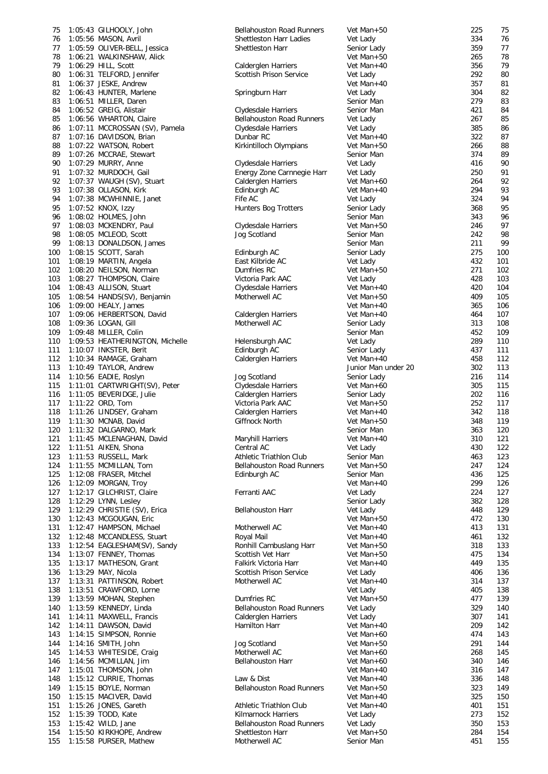| 75         | 1:05:43 GILHOOLY, John                              | <b>Bellahouston Road Runners</b>                      | Vet Man+50               | 225        | 75         |
|------------|-----------------------------------------------------|-------------------------------------------------------|--------------------------|------------|------------|
| 76         | 1:05:56 MASON, Avril                                | Shettleston Harr Ladies                               | Vet Lady                 | 334        | 76         |
| 77         | 1:05:59 OLIVER-BELL, Jessica                        | Shettleston Harr                                      | Senior Lady              | 359        | 77         |
| 78         | 1:06:21 WALKINSHAW, Alick                           |                                                       | Vet Man+50               | 265<br>356 | 78<br>79   |
| 79<br>80   | 1:06:29 HILL, Scott<br>1:06:31 TELFORD, Jennifer    | <b>Calderglen Harriers</b><br>Scottish Prison Service | Vet Man+40<br>Vet Lady   | 292        | 80         |
| 81         | 1:06:37 JESKE, Andrew                               |                                                       | Vet Man+40               | 357        | 81         |
| 82         | 1:06:43 HUNTER, Marlene                             | Springburn Harr                                       | Vet Lady                 | 304        | 82         |
| 83         | 1:06:51 MILLER, Daren                               |                                                       | Senior Man               | 279        | 83         |
| 84         | 1:06:52 GREIG, Alistair                             | Clydesdale Harriers                                   | Senior Man               | 421        | 84         |
| 85         | 1:06:56 WHARTON, Claire                             | <b>Bellahouston Road Runners</b>                      | Vet Lady                 | 267        | 85         |
| 86         | 1:07:11 MCCROSSAN (SV), Pamela                      | Clydesdale Harriers                                   | Vet Lady                 | 385        | 86         |
| 87         | 1:07:16 DAVIDSON, Brian                             | Dunbar RC                                             | Vet Man+40               | 322        | 87         |
| 88         | 1:07:22 WATSON, Robert                              | Kirkintilloch Olympians                               | Vet Man+50               | 266        | 88         |
| 89         | 1:07:26 MCCRAE, Stewart                             |                                                       | Senior Man               | 374        | 89         |
| 90         | 1:07:29 MURRY, Anne                                 | Clydesdale Harriers                                   | Vet Lady                 | 416<br>250 | 90         |
| 91<br>92   | 1:07:32 MURDOCH, Gail<br>1:07:37 WAUGH (SV), Stuart | Energy Zone Carnnegie Harr<br>Calderglen Harriers     | Vet Lady<br>Vet Man+60   | 264        | 91<br>92   |
| 93         | 1:07:38 OLLASON, Kirk                               | Edinburgh AC                                          | Vet Man+40               | 294        | 93         |
| 94         | 1:07:38 MCWHINNIE, Janet                            | Fife AC                                               | Vet Lady                 | 324        | 94         |
| 95         | 1:07:52 KNOX, Izzy                                  | Hunters Bog Trotters                                  | Senior Lady              | 368        | 95         |
| 96         | 1:08:02 HOLMES, John                                |                                                       | Senior Man               | 343        | 96         |
| 97         | 1:08:03 MCKENDRY, Paul                              | Clydesdale Harriers                                   | Vet Man+50               | 246        | 97         |
| 98         | 1:08:05 MCLEOD, Scott                               | Jog Scotland                                          | Senior Man               | 242        | 98         |
| 99         | 1:08:13 DONALDSON, James                            |                                                       | Senior Man               | 211        | 99         |
| 100        | 1:08:15 SCOTT, Sarah                                | Edinburgh AC                                          | Senior Lady              | 275        | 100        |
| 101        | 1:08:19 MARTIN, Angela                              | East Kilbride AC                                      | Vet Lady                 | 432        | 101        |
| 102        | 1:08:20 NEILSON, Norman                             | Dumfries RC                                           | Vet Man+50               | 271        | 102        |
| 103        | 1:08:27 THOMPSON, Claire                            | Victoria Park AAC                                     | Vet Lady                 | 428        | 103        |
| 104        | 1:08:43 ALLISON, Stuart                             | Clydesdale Harriers                                   | Vet Man+40               | 420        | 104        |
| 105        | 1:08:54 HANDS(SV), Benjamin                         | Motherwell AC                                         | Vet Man+50               | 409<br>365 | 105        |
| 106<br>107 | 1:09:00 HEALY, James<br>1:09:06 HERBERTSON, David   | Calderglen Harriers                                   | Vet Man+40<br>Vet Man+40 | 464        | 106<br>107 |
| 108        | 1:09:36 LOGAN, Gill                                 | Motherwell AC                                         | Senior Lady              | 313        | 108        |
| 109        | 1:09:48 MILLER, Colin                               |                                                       | Senior Man               | 452        | 109        |
| 110        | 1:09:53 HEATHERINGTON, Michelle                     | Helensburgh AAC                                       | Vet Lady                 | 289        | 110        |
| 111        | 1:10:07 INKSTER, Berit                              | Edinburgh AC                                          | Senior Lady              | 437        | 111        |
| 112        | 1:10:34 RAMAGE, Graham                              | <b>Calderglen Harriers</b>                            | Vet Man+40               | 458        | 112        |
| 113        | 1:10:49 TAYLOR, Andrew                              |                                                       | Junior Man under 20      | 302        | 113        |
| 114        | $1:10:56$ EADIE, Roslyn                             | Jog Scotland                                          | Senior Lady              | 216        | 114        |
| 115        | 1:11:01 CARTWRIGHT(SV), Peter                       | Clydesdale Harriers                                   | Vet Man+60               | 305        | 115        |
| 116        | 1:11:05 BEVERIDGE, Julie                            | Calderglen Harriers                                   | Senior Lady              | 202        | 116        |
| 117        | 1:11:22 ORD, Tom                                    | Victoria Park AAC                                     | Vet Man+50               | 252        | 117        |
| 118        | 1:11:26 LINDSEY, Graham                             | Calderglen Harriers                                   | Vet Man+40               | 342        | 118        |
| 119        | 1:11:30 MCNAB, David                                | Giffnock North                                        | Vet Man+50               | 348        | 119        |
| 120<br>121 | 1:11:32 DALGARNO, Mark<br>1:11:45 MCLENAGHAN, David | Maryhill Harriers                                     | Senior Man<br>Vet Man+40 | 363<br>310 | 120<br>121 |
| 122        | 1:11:51 AIKEN, Shona                                | Central AC                                            | Vet Lady                 | 430        | 122        |
| 123        | 1:11:53 RUSSELL, Mark                               | Athletic Triathlon Club                               | Senior Man               | 463        | 123        |
| 124        | 1:11:55 MCMILLAN, Tom                               | <b>Bellahouston Road Runners</b>                      | Vet Man+50               | 247        | 124        |
| 125        | 1:12:08 FRASER, Mitchel                             | Edinburgh AC                                          | Senior Man               | 436        | 125        |
| 126        | 1:12:09 MORGAN, Troy                                |                                                       | Vet Man+40               | 299        | 126        |
| 127        | 1:12:17 GILCHRIST, Claire                           | Ferranti AAC                                          | Vet Lady                 | 224        | 127        |
| 128        | $1:12:29$ LYNN, Lesley                              |                                                       | Senior Lady              | 382        | 128        |
| 129        | 1:12:29 CHRISTIE (SV), Erica                        | <b>Bellahouston Harr</b>                              | Vet Lady                 | 448        | 129        |
| 130        | 1:12:43 MCGOUGAN, Eric                              |                                                       | Vet Man+50               | 472        | 130        |
| 131        | 1:12:47 HAMPSON, Michael                            | Motherwell AC                                         | Vet Man+40               | 413        | 131        |
| 132        | 1:12:48 MCCANDLESS, Stuart                          | Royal Mail                                            | Vet Man+40               | 461        | 132        |
| 133        | 1:12:54 EAGLESHAM(SV), Sandy                        | Ronhill Cambuslang Harr                               | Vet Man+50               | 318        | 133        |
| 134<br>135 | 1:13:07 FENNEY, Thomas<br>1:13:17 MATHESON, Grant   | Scottish Vet Harr<br>Falkirk Victoria Harr            | Vet Man+50<br>Vet Man+40 | 475<br>449 | 134<br>135 |
| 136        | $1:13:29$ MAY, Nicola                               | <b>Scottish Prison Service</b>                        | Vet Lady                 | 406        | 136        |
| 137        | 1:13:31 PATTINSON, Robert                           | Motherwell AC                                         | Vet Man+40               | 314        | 137        |
| 138        | 1:13:51 CRAWFORD, Lorne                             |                                                       | Vet Lady                 | 405        | 138        |
| 139        | 1:13:59 MOHAN, Stephen                              | Dumfries RC                                           | Vet Man+50               | 477        | 139        |
| 140        | 1:13:59 KENNEDY, Linda                              | <b>Bellahouston Road Runners</b>                      | Vet Lady                 | 329        | 140        |
| 141        | 1:14:11 MAXWELL, Francis                            | Calderglen Harriers                                   | Vet Lady                 | 307        | 141        |
| 142        | 1:14:11 DAWSON, David                               | Hamilton Harr                                         | Vet Man+40               | 209        | 142        |
| 143        | 1:14:15 SIMPSON, Ronnie                             |                                                       | Vet Man+60               | 474        | 143        |
| 144        | 1:14:16 SMITH, John                                 | Jog Scotland                                          | Vet Man+50               | 291        | 144        |
| 145        | 1:14:53 WHITESIDE, Craig                            | Motherwell AC                                         | Vet Man+60               | 268        | 145        |
| 146        | 1:14:56 MCMILLAN, Jim                               | <b>Bellahouston Harr</b>                              | Vet Man+60               | 340        | 146        |
| 147        | 1:15:01 THOMSON, John                               |                                                       | Vet Man+40               | 316        | 147        |
| 148<br>149 | 1:15:12 CURRIE, Thomas<br>1:15:15 BOYLE, Norman     | Law & Dist<br><b>Bellahouston Road Runners</b>        | Vet Man+40<br>Vet Man+50 | 336<br>323 | 148<br>149 |
| 150        | 1:15:15 MACIVER, David                              |                                                       | Vet Man+40               | 325        | 150        |
| 151        | 1:15:26 JONES, Gareth                               | Athletic Triathlon Club                               | Vet Man+40               | 401        | 151        |
| 152        | 1:15:39 TODD, Kate                                  | Kilmarnock Harriers                                   | Vet Lady                 | 273        | 152        |
| 153        | 1:15:42 WILD, Jane                                  | <b>Bellahouston Road Runners</b>                      | Vet Lady                 | 350        | 153        |
| 154        | 1:15:50 KIRKHOPE, Andrew                            | Shettleston Harr                                      | Vet Man+50               | 284        | 154        |
| 155        | 1:15:58 PURSER, Mathew                              | Motherwell AC                                         | Senior Man               | 451        | 155        |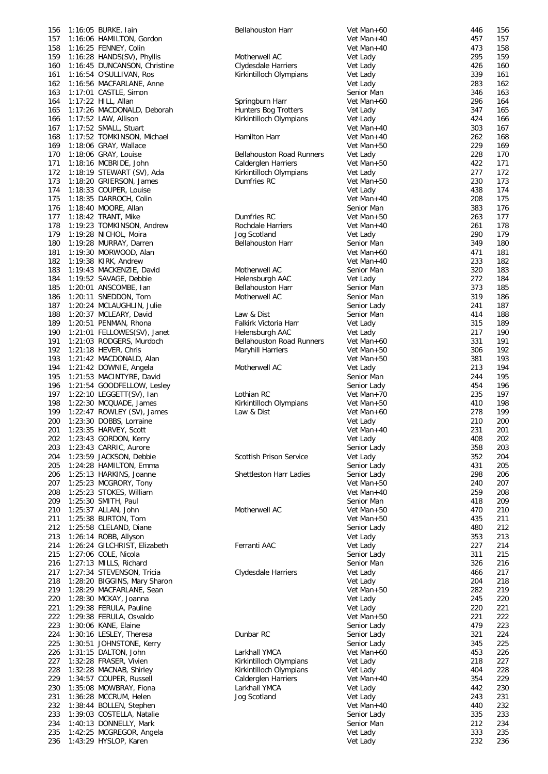| 156 | 1:16:05 BURKE, Iain          | <b>Bellahouston Harr</b>         | Vet Man+60  | 446 | 156 |
|-----|------------------------------|----------------------------------|-------------|-----|-----|
|     |                              |                                  |             |     |     |
| 157 | 1:16:06 HAMILTON, Gordon     |                                  | Vet Man+40  | 457 | 157 |
| 158 | 1:16:25 FENNEY, Colin        |                                  | Vet Man+40  | 473 | 158 |
| 159 | 1:16:28 HANDS(SV), Phyllis   | Motherwell AC                    | Vet Lady    | 295 | 159 |
|     |                              |                                  |             |     |     |
| 160 | 1:16:45 DUNCANSON, Christine | Clydesdale Harriers              | Vet Lady    | 426 | 160 |
| 161 | 1:16:54 O'SULLIVAN, Ros      | Kirkintilloch Olympians          | Vet Lady    | 339 | 161 |
| 162 | 1:16:56 MACFARLANE, Anne     |                                  | Vet Lady    | 283 | 162 |
|     |                              |                                  |             |     |     |
| 163 | 1:17:01 CASTLE, Simon        |                                  | Senior Man  | 346 | 163 |
| 164 | 1:17:22 HILL, Allan          | Springburn Harr                  | Vet Man+60  | 296 | 164 |
|     |                              |                                  |             |     | 165 |
| 165 | 1:17:26 MACDONALD, Deborah   | <b>Hunters Bog Trotters</b>      | Vet Lady    | 347 |     |
| 166 | 1:17:52 LAW, Allison         | Kirkintilloch Olympians          | Vet Lady    | 424 | 166 |
| 167 | 1:17:52 SMALL, Stuart        |                                  | Vet Man+40  | 303 | 167 |
|     |                              |                                  |             |     |     |
| 168 | 1:17:52 TOMKINSON, Michael   | Hamilton Harr                    | Vet Man+40  | 262 | 168 |
| 169 | 1:18:06 GRAY, Wallace        |                                  | Vet Man+50  | 229 | 169 |
| 170 | 1:18:06 GRAY, Louise         | <b>Bellahouston Road Runners</b> | Vet Lady    | 228 | 170 |
|     |                              |                                  |             |     |     |
| 171 | 1:18:16 MCBRIDE, John        | Calderglen Harriers              | Vet Man+50  | 422 | 171 |
| 172 | 1:18:19 STEWART (SV), Ada    | Kirkintilloch Olympians          | Vet Lady    | 277 | 172 |
|     |                              |                                  |             |     |     |
| 173 | 1:18:20 GRIERSON, James      | Dumfries RC                      | Vet Man+50  | 230 | 173 |
| 174 | 1:18:33 COUPER, Louise       |                                  | Vet Lady    | 438 | 174 |
| 175 | 1:18:35 DARROCH, Colin       |                                  | Vet Man+40  | 208 | 175 |
|     |                              |                                  |             |     |     |
| 176 | 1:18:40 MOORE, Allan         |                                  | Senior Man  | 383 | 176 |
| 177 | 1:18:42 TRANT, Mike          | Dumfries RC                      | Vet Man+50  | 263 | 177 |
| 178 | 1:19:23 TOMKINSON, Andrew    | Rochdale Harriers                | Vet Man+40  | 261 | 178 |
|     |                              |                                  |             |     |     |
| 179 | 1:19:28 NICHOL, Moira        | Jog Scotland                     | Vet Lady    | 290 | 179 |
| 180 | 1:19:28 MURRAY, Darren       | <b>Bellahouston Harr</b>         | Senior Man  | 349 | 180 |
| 181 | 1:19:30 MORWOOD, Alan        |                                  | Vet Man+60  | 471 | 181 |
|     |                              |                                  |             |     |     |
| 182 | 1:19:38 KIRK, Andrew         |                                  | Vet Man+40  | 233 | 182 |
| 183 | 1:19:43 MACKENZIE, David     | Motherwell AC                    | Senior Man  | 320 | 183 |
|     |                              |                                  |             |     |     |
| 184 | 1:19:52 SAVAGE, Debbie       | Helensburgh AAC                  | Vet Lady    | 272 | 184 |
| 185 | 1:20:01 ANSCOMBE, Ian        | <b>Bellahouston Harr</b>         | Senior Man  | 373 | 185 |
| 186 | 1:20:11 SNEDDON, Tom         | Motherwell AC                    | Senior Man  | 319 | 186 |
|     |                              |                                  |             |     |     |
| 187 | 1:20:24 MCLAUGHLIN, Julie    |                                  | Senior Lady | 241 | 187 |
| 188 | 1:20:37 MCLEARY, David       | Law & Dist                       | Senior Man  | 414 | 188 |
| 189 | 1:20:51 PENMAN, Rhona        | Falkirk Victoria Harr            | Vet Lady    | 315 | 189 |
|     |                              |                                  |             |     |     |
| 190 | 1:21:01 FELLOWES(SV), Janet  | Helensburgh AAC                  | Vet Lady    | 217 | 190 |
| 191 | 1:21:03 RODGERS, Murdoch     | <b>Bellahouston Road Runners</b> | Vet Man+60  | 331 | 191 |
| 192 | 1:21:18 HEVER, Chris         |                                  | Vet Man+50  | 306 | 192 |
|     |                              | Maryhill Harriers                |             |     |     |
| 193 | 1:21:42 MACDONALD, Alan      |                                  | Vet Man+50  | 381 | 193 |
| 194 | 1:21:42 DOWNIE, Angela       | Motherwell AC                    | Vet Lady    | 213 | 194 |
|     |                              |                                  |             |     |     |
| 195 | 1:21:53 MACINTYRE, David     |                                  | Senior Man  | 244 | 195 |
| 196 | 1:21:54 GOODFELLOW, Lesley   |                                  | Senior Lady | 454 | 196 |
| 197 | 1:22:10 LEGGETT(SV), Ian     | Lothian RC                       | Vet Man+70  | 235 | 197 |
|     |                              |                                  |             |     |     |
| 198 | 1:22:30 MCQUADE, James       | Kirkintilloch Olympians          | Vet Man+50  | 410 | 198 |
| 199 | 1:22:47 ROWLEY (SV), James   | Law & Dist                       | Vet Man+60  | 278 | 199 |
| 200 | 1:23:30 DOBBS, Lorraine      |                                  | Vet Lady    | 210 | 200 |
|     |                              |                                  |             |     |     |
| 201 | 1:23:35 HARVEY, Scott        |                                  | Vet Man+40  | 231 | 201 |
|     | 202 1:23:43 GORDON, Kerry    |                                  | Vet Lady    | 408 | 202 |
|     | 1:23:43 CARRIC, Aurore       |                                  |             | 358 | 203 |
| 203 |                              |                                  | Senior Lady |     |     |
| 204 | 1:23:59 JACKSON, Debbie      | Scottish Prison Service          | Vet Lady    | 352 | 204 |
| 205 | 1:24:28 HAMILTON, Emma       |                                  | Senior Lady | 431 | 205 |
|     |                              |                                  |             |     |     |
| 206 | 1:25:13 HARKINS, Joanne      | Shettleston Harr Ladies          | Senior Lady | 298 | 206 |
| 207 | 1:25:23 MCGRORY, Tony        |                                  | Vet Man+50  | 240 | 207 |
| 208 | 1:25:23 STOKES, William      |                                  | Vet Man+40  | 259 | 208 |
|     |                              |                                  |             |     |     |
| 209 | 1:25:30 SMITH, Paul          |                                  | Senior Man  | 418 | 209 |
| 210 | 1:25:37 ALLAN, John          | Motherwell AC                    | Vet Man+50  | 470 | 210 |
| 211 | 1:25:38 BURTON, Tom          |                                  | Vet Man+50  | 435 | 211 |
|     |                              |                                  |             |     |     |
| 212 | 1:25:58 CLELAND, Diane       |                                  | Senior Lady | 480 | 212 |
| 213 | 1:26:14 ROBB, Allyson        |                                  | Vet Lady    | 353 | 213 |
| 214 |                              |                                  |             | 227 |     |
|     |                              |                                  |             |     |     |
| 215 | 1:26:24 GILCHRIST, Elizabeth | Ferranti AAC                     | Vet Lady    |     | 214 |
| 216 | 1:27:06 COLE, Nicola         |                                  | Senior Lady | 311 | 215 |
|     |                              |                                  | Senior Man  | 326 | 216 |
|     | 1:27:13 MILLS, Richard       |                                  |             |     |     |
| 217 | 1:27:34 STEVENSON, Tricia    | Clydesdale Harriers              | Vet Lady    | 466 | 217 |
| 218 | 1:28:20 BIGGINS, Mary Sharon |                                  | Vet Lady    | 204 | 218 |
|     |                              |                                  |             |     |     |
| 219 | 1:28:29 MACFARLANE, Sean     |                                  | Vet Man+50  | 282 | 219 |
| 220 | 1:28:30 MCKAY, Joanna        |                                  | Vet Lady    | 245 | 220 |
| 221 | 1:29:38 FERULA, Pauline      |                                  | Vet Lady    | 220 | 221 |
|     |                              |                                  |             |     |     |
| 222 | 1:29:38 FERULA, Osvaldo      |                                  | Vet Man+50  | 221 | 222 |
| 223 | 1:30:06 KANE, Elaine         |                                  | Senior Lady | 479 | 223 |
| 224 | 1:30:16 LESLEY, Theresa      | Dunbar RC                        | Senior Lady | 321 | 224 |
|     |                              |                                  |             |     |     |
| 225 | 1:30:51 JOHNSTONE, Kerry     |                                  | Senior Lady | 345 | 225 |
| 226 | 1:31:15 DALTON, John         | Larkhall YMCA                    | Vet Man+60  | 453 | 226 |
| 227 | 1:32:28 FRASER, Vivien       | Kirkintilloch Olympians          | Vet Lady    | 218 | 227 |
|     |                              |                                  |             |     |     |
| 228 | 1:32:28 MACNAB, Shirley      | Kirkintilloch Olympians          | Vet Lady    | 404 | 228 |
| 229 | 1:34:57 COUPER, Russell      | Calderglen Harriers              | Vet Man+40  | 354 | 229 |
| 230 |                              | Larkhall YMCA                    | Vet Lady    | 442 | 230 |
|     | 1:35:08 MOWBRAY, Fiona       |                                  |             |     |     |
| 231 | 1:36:28 MCCRUM, Helen        | Jog Scotland                     | Vet Lady    | 243 | 231 |
| 232 | 1:38:44 BOLLEN, Stephen      |                                  | Vet Man+40  | 440 | 232 |
| 233 |                              |                                  |             | 335 | 233 |
|     | 1:39:03 COSTELLA, Natalie    |                                  | Senior Lady |     |     |
| 234 | 1:40:13 DONNELLY, Mark       |                                  | Senior Man  | 212 | 234 |
| 235 | 1:42:25 MCGREGOR, Angela     |                                  | Vet Lady    | 333 | 235 |
| 236 | 1:43:29 HYSLOP, Karen        |                                  | Vet Lady    | 232 | 236 |